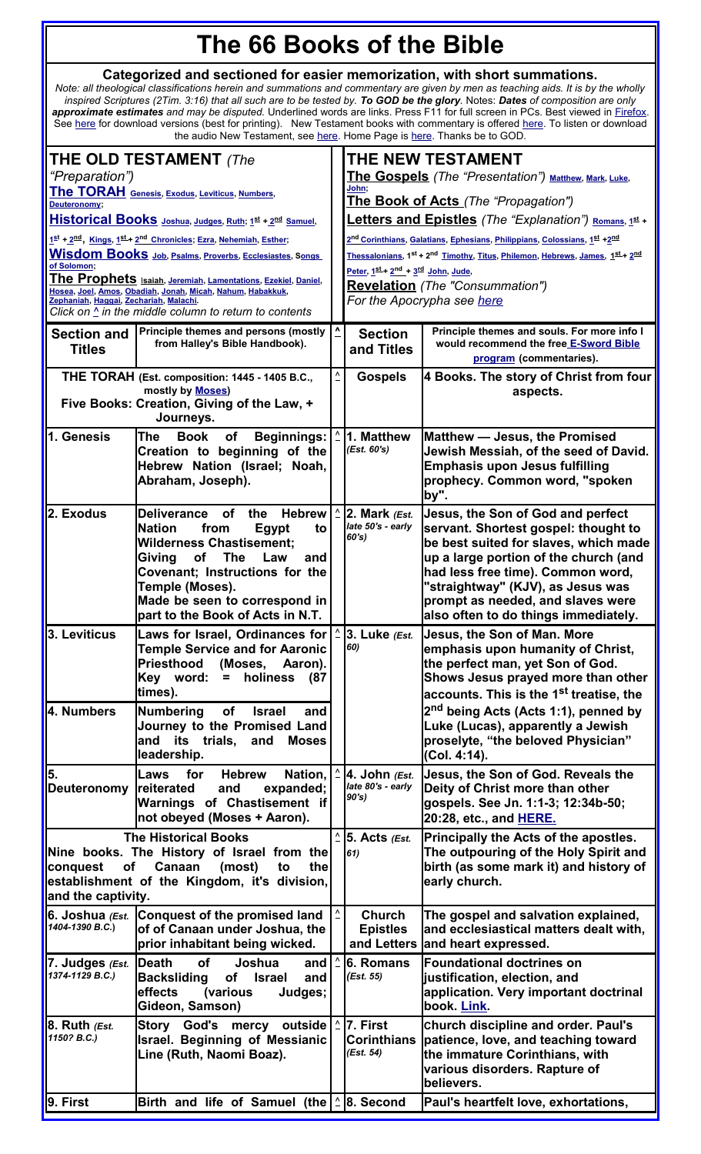## <span id="page-0-11"></span><span id="page-0-1"></span>**The 66 Books of the Bible**

## **Categorized and sectioned for easier memorization, with short summations.**

*Note: all theological classifications herein and summations and commentary are given by men as teaching aids. It is by the wholly inspired Scriptures (2Tim. 3:16) that all such are to be tested by. To GOD be the glory.* Notes: *Dates of composition are only approximate estimates and may be disputed.* Underlined words are links. Press F11 for full screen in PCs. Best viewed in [Firefox.](http://www.mozilla.com/en-US/firefox/personal.html) See <u>here</u> for download versions (best for printing). New Testament books with commentary is offered <u>here</u>. To listen or download the audio New Testament, see <u>here</u>. Home Page is <u>here</u>. Thanks be to GOD.

<span id="page-0-22"></span><span id="page-0-21"></span><span id="page-0-20"></span><span id="page-0-19"></span><span id="page-0-18"></span><span id="page-0-17"></span><span id="page-0-16"></span><span id="page-0-15"></span><span id="page-0-14"></span><span id="page-0-13"></span><span id="page-0-12"></span><span id="page-0-10"></span><span id="page-0-9"></span><span id="page-0-8"></span><span id="page-0-7"></span><span id="page-0-6"></span><span id="page-0-5"></span><span id="page-0-4"></span><span id="page-0-3"></span><span id="page-0-2"></span><span id="page-0-0"></span>

| <b>THE OLD TESTAMENT</b> (The<br>"Preparation")                                                                                                                                                                                          |                                                                                                                                                                                                                                                                                                          |                |                                                                                                                                                  | THE NEW TESTAMENT<br><b>The Gospels</b> (The "Presentation") Matthew, Mark, Luke,                                                                                                                                                                                                                                  |  |  |  |  |
|------------------------------------------------------------------------------------------------------------------------------------------------------------------------------------------------------------------------------------------|----------------------------------------------------------------------------------------------------------------------------------------------------------------------------------------------------------------------------------------------------------------------------------------------------------|----------------|--------------------------------------------------------------------------------------------------------------------------------------------------|--------------------------------------------------------------------------------------------------------------------------------------------------------------------------------------------------------------------------------------------------------------------------------------------------------------------|--|--|--|--|
| The TORAH Genesis, Exodus, Leviticus, Numbers,<br>Deuteronomy;                                                                                                                                                                           |                                                                                                                                                                                                                                                                                                          |                | John:                                                                                                                                            | The Book of Acts (The "Propagation")                                                                                                                                                                                                                                                                               |  |  |  |  |
| Historical Books Joshua, Judges, Ruth; 1st + 2nd Samuel,                                                                                                                                                                                 |                                                                                                                                                                                                                                                                                                          |                | <b>Letters and Epistles</b> (The "Explanation") Romans, 1st +                                                                                    |                                                                                                                                                                                                                                                                                                                    |  |  |  |  |
|                                                                                                                                                                                                                                          | 1st + 2nd, Kings, 1st + 2nd Chronicles; Ezra, Nehemiah, Esther;                                                                                                                                                                                                                                          |                |                                                                                                                                                  | 2 <sup>nd</sup> Corinthians, Galatians, Ephesians, Philippians, Colossians, 1 <sup>st</sup> +2 <sup>nd</sup>                                                                                                                                                                                                       |  |  |  |  |
| of Solomon:                                                                                                                                                                                                                              | <b>Wisdom Books</b> Job, Psalms, Proverbs, Ecclesiastes, Songs                                                                                                                                                                                                                                           |                |                                                                                                                                                  | Thessalonians, 1 <sup>st</sup> + 2 <sup>nd</sup> Timothy, Titus, Philemon, Hebrews, James, 1st + 2nd<br>Peter, 1st + 2 <sup>nd</sup> + 3 <sup>rd</sup> John, Jude,                                                                                                                                                 |  |  |  |  |
| The Prophets Isaiah, Jeremiah, Lamentations, Ezekiel, Daniel,<br>Hosea, Joel, Amos, Obadiah, Jonah, Micah, Nahum, Habakkuk,<br>Zephaniah, Haggai, Zechariah, Malachi.<br>Click on $\triangle$ in the middle column to return to contents |                                                                                                                                                                                                                                                                                                          |                | <b>Revelation</b> (The "Consummation")<br>For the Apocrypha see here                                                                             |                                                                                                                                                                                                                                                                                                                    |  |  |  |  |
| <b>Section and</b><br><b>Titles</b>                                                                                                                                                                                                      | Principle themes and persons (mostly<br>from Halley's Bible Handbook).                                                                                                                                                                                                                                   | ^              | Principle themes and souls. For more info I<br><b>Section</b><br>would recommend the free E-Sword Bible<br>and Titles<br>program (commentaries). |                                                                                                                                                                                                                                                                                                                    |  |  |  |  |
| THE TORAH (Est. composition: 1445 - 1405 B.C.,                                                                                                                                                                                           |                                                                                                                                                                                                                                                                                                          |                | <b>Gospels</b>                                                                                                                                   | 4 Books. The story of Christ from four                                                                                                                                                                                                                                                                             |  |  |  |  |
| mostly by <b>Moses</b> )<br>Five Books: Creation, Giving of the Law, +<br>Journeys.                                                                                                                                                      |                                                                                                                                                                                                                                                                                                          |                |                                                                                                                                                  | aspects.                                                                                                                                                                                                                                                                                                           |  |  |  |  |
| 1. Genesis                                                                                                                                                                                                                               | <b>Book</b><br>The<br><b>Beginnings:</b><br>of<br>Creation to beginning of the<br>Hebrew Nation (Israel; Noah,<br>Abraham, Joseph).                                                                                                                                                                      |                | 1. Matthew<br>(Est. 60's)                                                                                                                        | Matthew - Jesus, the Promised<br>Jewish Messiah, of the seed of David.<br><b>Emphasis upon Jesus fulfilling</b><br>prophecy. Common word, "spoken<br>by".                                                                                                                                                          |  |  |  |  |
| 2. Exodus                                                                                                                                                                                                                                | <b>Deliverance</b><br><b>of</b><br><b>Hebrew</b><br>the<br><b>Nation</b><br>from<br>Egypt<br>to<br><b>Wilderness Chastisement;</b><br>Giving<br>of<br><b>The</b><br>Law<br>and<br>Covenant; Instructions for the<br>Temple (Moses).<br>Made be seen to correspond in<br>part to the Book of Acts in N.T. |                | 2. Mark $\ell$ Est.<br>late 50's - early<br>60's)                                                                                                | Jesus, the Son of God and perfect<br>servant. Shortest gospel: thought to<br>be best suited for slaves, which made<br>up a large portion of the church (and<br>had less free time). Common word,<br>"straightway" (KJV), as Jesus was<br>prompt as needed, and slaves were<br>also often to do things immediately. |  |  |  |  |
| l3. Leviticus                                                                                                                                                                                                                            | Laws for Israel, Ordinances for<br><b>Temple Service and for Aaronic</b><br>Priesthood (Moses, Aaron).<br>Key word:<br>holiness<br>(87<br>$\equiv$<br>times).                                                                                                                                            |                | 3. Luke (Est.<br>60)                                                                                                                             | Jesus, the Son of Man. More<br>emphasis upon humanity of Christ,<br>the perfect man, yet Son of God.<br>Shows Jesus prayed more than other<br>accounts. This is the 1 <sup>st</sup> treatise, the                                                                                                                  |  |  |  |  |
| 4. Numbers                                                                                                                                                                                                                               | <b>Numbering</b><br>of<br><b>Israel</b><br>and<br>Journey to the Promised Land<br>and its trials,<br>and<br><b>Moses</b><br>leadership.                                                                                                                                                                  |                |                                                                                                                                                  | 2 <sup>nd</sup> being Acts (Acts 1:1), penned by<br>Luke (Lucas), apparently a Jewish<br>proselyte, "the beloved Physician"<br>(Col. 4:14).                                                                                                                                                                        |  |  |  |  |
| 5.<br>Deuteronomy                                                                                                                                                                                                                        | for<br>Nation.<br>Laws<br><b>Hebrew</b><br>reiterated<br>and<br>expanded;<br>Warnings of Chastisement if<br>not obeyed (Moses + Aaron).                                                                                                                                                                  |                | $ 4.$ John $\ell$ Est.<br>late 80's - early<br>90's                                                                                              | Jesus, the Son of God. Reveals the<br>Deity of Christ more than other<br>gospels. See Jn. 1:1-3; 12:34b-50;<br>20:28, etc., and <b>HERE.</b>                                                                                                                                                                       |  |  |  |  |
| <b>The Historical Books</b><br>Nine books. The History of Israel from the<br>Canaan<br>(most)<br>the<br>conquest<br>οf<br>to<br>establishment of the Kingdom, it's division,<br>and the captivity.                                       |                                                                                                                                                                                                                                                                                                          |                | $5.$ Acts (Est.<br>61)                                                                                                                           | Principally the Acts of the apostles.<br>The outpouring of the Holy Spirit and<br>birth (as some mark it) and history of<br>early church.                                                                                                                                                                          |  |  |  |  |
| 6. Joshua (Est.<br>1404-1390 B.C.)                                                                                                                                                                                                       | <b>Conquest of the promised land</b><br>of of Canaan under Joshua, the<br>prior inhabitant being wicked.                                                                                                                                                                                                 | $\overline{v}$ | Church<br><b>Epistles</b><br>and Letters                                                                                                         | The gospel and salvation explained,<br>and ecclesiastical matters dealt with,<br>and heart expressed.                                                                                                                                                                                                              |  |  |  |  |
| 7. Judges (Est.<br>1374-1129 B.C.)                                                                                                                                                                                                       | <b>Death</b><br><b>of</b><br>Joshua<br>and<br><b>Backsliding</b><br>of<br><b>Israel</b><br>and<br>effects<br>(various<br>Judges;<br>Gideon, Samson)                                                                                                                                                      |                | 6. Romans<br>(Est. 55)                                                                                                                           | <b>Foundational doctrines on</b><br>justification, election, and<br>application. Very important doctrinal<br>book. Link.                                                                                                                                                                                           |  |  |  |  |
| $ 8.$ Ruth $\ell$ Est.<br>1150? B.C.)                                                                                                                                                                                                    | <b>Story</b><br>God's mercy outside<br><b>Israel. Beginning of Messianic</b><br>Line (Ruth, Naomi Boaz).                                                                                                                                                                                                 |                | 7. First<br><b>Corinthians</b><br>(Est. 54)                                                                                                      | church discipline and order. Paul's<br>patience, love, and teaching toward<br>the immature Corinthians, with<br>various disorders. Rapture of<br>believers.                                                                                                                                                        |  |  |  |  |
| 9. First                                                                                                                                                                                                                                 | Birth and life of Samuel (the                                                                                                                                                                                                                                                                            |                | $\hat{=}$ 8. Second                                                                                                                              | Paul's heartfelt love, exhortations,                                                                                                                                                                                                                                                                               |  |  |  |  |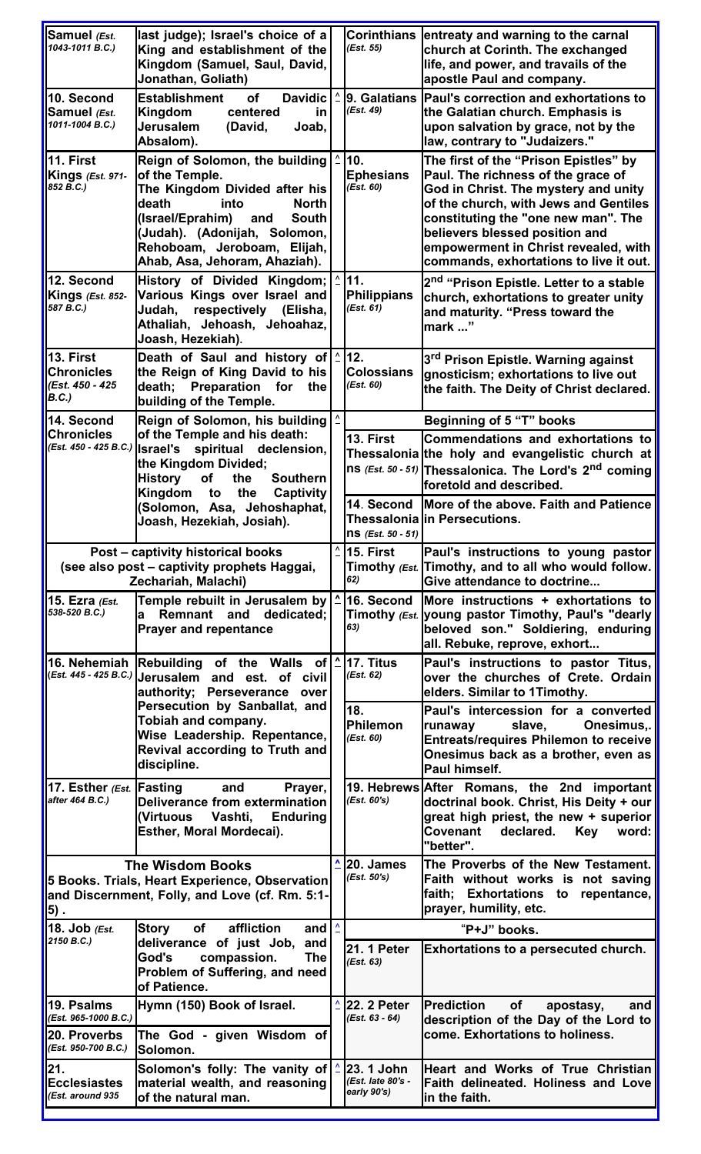<span id="page-1-25"></span><span id="page-1-24"></span><span id="page-1-23"></span><span id="page-1-22"></span><span id="page-1-21"></span><span id="page-1-20"></span><span id="page-1-19"></span><span id="page-1-18"></span><span id="page-1-17"></span><span id="page-1-16"></span><span id="page-1-15"></span><span id="page-1-14"></span><span id="page-1-13"></span><span id="page-1-12"></span><span id="page-1-11"></span><span id="page-1-10"></span><span id="page-1-9"></span><span id="page-1-8"></span><span id="page-1-7"></span><span id="page-1-6"></span><span id="page-1-5"></span><span id="page-1-4"></span><span id="page-1-3"></span><span id="page-1-2"></span><span id="page-1-1"></span><span id="page-1-0"></span>

| Samuel (Est.<br>1043-1011 B.C.)                                                                                                    | last judge); Israel's choice of a<br>King and establishment of the<br>Kingdom (Samuel, Saul, David,<br>Jonathan, Goliath)                                                                                                                                     |  | (Est. 55)                                      | Corinthians entreaty and warning to the carnal<br>church at Corinth. The exchanged<br>life, and power, and travails of the<br>apostle Paul and company.                                                                                                                                                                 |  |  |  |
|------------------------------------------------------------------------------------------------------------------------------------|---------------------------------------------------------------------------------------------------------------------------------------------------------------------------------------------------------------------------------------------------------------|--|------------------------------------------------|-------------------------------------------------------------------------------------------------------------------------------------------------------------------------------------------------------------------------------------------------------------------------------------------------------------------------|--|--|--|
| 10. Second<br>Samuel (Est.<br>1011-1004 B.C.)                                                                                      | <b>Establishment</b><br><b>of</b><br><b>Davidic</b><br>Kingdom<br>centered<br>in.<br>Jerusalem<br>(David,<br>Joab,<br>Absalom).                                                                                                                               |  | (Est. 49)                                      | 9. Galatians Paul's correction and exhortations to<br>the Galatian church. Emphasis is<br>upon salvation by grace, not by the<br>law, contrary to "Judaizers."                                                                                                                                                          |  |  |  |
| 11. First<br>Kings (Est. 971-<br>852 B.C.)                                                                                         | Reign of Solomon, the building<br>of the Temple.<br>The Kingdom Divided after his<br>death<br>into<br><b>North</b><br>(Israel/Eprahim)<br><b>South</b><br>and<br>(Judah). (Adonijah, Solomon,<br>Rehoboam, Jeroboam, Elijah,<br>Ahab, Asa, Jehoram, Ahaziah). |  | 10.<br><b>Ephesians</b><br>(Est. 60)           | The first of the "Prison Epistles" by<br>Paul. The richness of the grace of<br>God in Christ. The mystery and unity<br>of the church, with Jews and Gentiles<br>constituting the "one new man". The<br>believers blessed position and<br>empowerment in Christ revealed, with<br>commands, exhortations to live it out. |  |  |  |
| 12. Second<br>Kings (Est. 852-<br>587 B.C.)                                                                                        | History of Divided Kingdom;<br>Various Kings over Israel and<br>Judah, respectively (Elisha,<br>Athaliah, Jehoash, Jehoahaz,<br>Joash, Hezekiah).                                                                                                             |  | 11.<br>Philippians<br>(Est. 61)                | 2 <sup>nd</sup> "Prison Epistle. Letter to a stable<br>church, exhortations to greater unity<br>and maturity. "Press toward the<br>mark "                                                                                                                                                                               |  |  |  |
| l13. First<br><b>Chronicles</b><br>(Est. 450 - 425<br>B.C.)                                                                        | Death of Saul and history of<br>the Reign of King David to his<br>death; Preparation for<br>the<br>building of the Temple.                                                                                                                                    |  | 12.<br><b>Colossians</b><br>(Est. 60)          | 3 <sup>rd</sup> Prison Epistle. Warning against<br>gnosticism; exhortations to live out<br>the faith. The Deity of Christ declared.                                                                                                                                                                                     |  |  |  |
| 14. Second                                                                                                                         | Reign of Solomon, his building                                                                                                                                                                                                                                |  |                                                | <b>Beginning of 5 "T" books</b>                                                                                                                                                                                                                                                                                         |  |  |  |
| <b>Chronicles</b>                                                                                                                  | of the Temple and his death:<br>$\left  \right $ (Est. 450 - 425 B.C.)   Israel's spiritual declension,<br>the Kingdom Divided;<br><b>History</b><br>of<br>the<br><b>Southern</b>                                                                             |  | 13. First                                      | Commendations and exhortations to<br>Thessalonia the holy and evangelistic church at<br>Ins (Est. 50 - 51) Thessalonica. The Lord's $2^{nd}$ coming                                                                                                                                                                     |  |  |  |
|                                                                                                                                    | Kingdom to<br>the<br>Captivity                                                                                                                                                                                                                                |  |                                                | foretold and described.                                                                                                                                                                                                                                                                                                 |  |  |  |
|                                                                                                                                    | (Solomon, Asa, Jehoshaphat,<br>Joash, Hezekiah, Josiah).                                                                                                                                                                                                      |  | 14. Second<br>$\ln$ S (Est. 50 - 51)           | More of the above. Faith and Patience<br>Thessalonia in Persecutions.                                                                                                                                                                                                                                                   |  |  |  |
|                                                                                                                                    | Post - captivity historical books                                                                                                                                                                                                                             |  | 15. First                                      | Paul's instructions to young pastor                                                                                                                                                                                                                                                                                     |  |  |  |
|                                                                                                                                    | (see also post – captivity prophets Haggai,<br>Zechariah, Malachi)                                                                                                                                                                                            |  | 62)                                            | Timothy (Est. Timothy, and to all who would follow.<br>Give attendance to doctrine                                                                                                                                                                                                                                      |  |  |  |
| 15. Ezra (Est.<br>538-520 B.C.)                                                                                                    | Temple rebuilt in Jerusalem by<br>Remnant and dedicated;<br>a<br><b>Prayer and repentance</b>                                                                                                                                                                 |  | 16. Second<br>63)                              | More instructions + exhortations to<br>Timothy (Est. young pastor Timothy, Paul's "dearly<br>beloved son." Soldiering, enduring<br>all. Rebuke, reprove, exhort                                                                                                                                                         |  |  |  |
|                                                                                                                                    | 16. Nehemiah Rebuilding of the Walls of<br>( <i>Est. 445 - 425 B.C.</i> )   Jerusalem and est. of civil<br>authority; Perseverance over                                                                                                                       |  | 17. Titus<br>(Est. 62)                         | Paul's instructions to pastor Titus,<br>over the churches of Crete. Ordain<br>elders. Similar to 1Timothy.                                                                                                                                                                                                              |  |  |  |
|                                                                                                                                    | Persecution by Sanballat, and<br>Tobiah and company.<br>Wise Leadership. Repentance,<br>Revival according to Truth and<br>discipline.                                                                                                                         |  | 18.<br>Philemon<br>(Est. 60)                   | Paul's intercession for a converted<br>Onesimus<br>slave,<br>runaway<br><b>Entreats/requires Philemon to receive</b><br>Onesimus back as a brother, even as<br>Paul himself.                                                                                                                                            |  |  |  |
| 17. Esther (Est. Fasting<br>after 464 B.C.)                                                                                        | Prayer,<br>and<br><b>Deliverance from extermination</b><br>(Virtuous<br>Vashti,<br><b>Enduring</b><br>Esther, Moral Mordecai).                                                                                                                                |  | (Est. 60's)                                    | 19. Hebrews After Romans, the 2nd important<br>doctrinal book. Christ, His Deity + our<br>great high priest, the new + superior<br>Covenant<br>declared.<br>Key<br>word:<br>"better".                                                                                                                                   |  |  |  |
| <b>The Wisdom Books</b><br>5 Books. Trials, Heart Experience, Observation<br>and Discernment, Folly, and Love (cf. Rm. 5:1-<br>5). |                                                                                                                                                                                                                                                               |  | 20. James<br>(Est. 50's)                       | The Proverbs of the New Testament.<br>Faith without works is not saving<br>faith; Exhortations to repentance,<br>prayer, humility, etc.                                                                                                                                                                                 |  |  |  |
| 18. Job (Est.<br>2150 B.C.)                                                                                                        | Story<br>of<br>affliction<br>and                                                                                                                                                                                                                              |  | "P+J" books.                                   |                                                                                                                                                                                                                                                                                                                         |  |  |  |
|                                                                                                                                    | deliverance of just Job, and<br>God's<br>compassion.<br><b>The</b><br>Problem of Suffering, and need<br>of Patience.                                                                                                                                          |  | <b>21. 1 Peter</b><br>(Est. 63)                | Exhortations to a persecuted church.                                                                                                                                                                                                                                                                                    |  |  |  |
| 19. Psalms<br>(Est. 965-1000 B.C.)                                                                                                 | Hymn (150) Book of Israel.                                                                                                                                                                                                                                    |  | 22. 2 Peter<br>$(Est. 63 - 64)$                | of<br><b>Prediction</b><br>apostasy,<br>and<br>description of the Day of the Lord to                                                                                                                                                                                                                                    |  |  |  |
| 20. Proverbs<br>(Est. 950-700 B.C.)                                                                                                | The God - given Wisdom of<br>lSolomon.                                                                                                                                                                                                                        |  |                                                | come. Exhortations to holiness.                                                                                                                                                                                                                                                                                         |  |  |  |
| 21.<br><b>Ecclesiastes</b><br>(Est. around 935                                                                                     | Solomon's folly: The vanity of<br>material wealth, and reasoning<br>of the natural man.                                                                                                                                                                       |  | 23. 1 John<br>(Est. late 80's -<br>early 90's) | Heart and Works of True Christian<br>Faith delineated. Holiness and Love<br>in the faith.                                                                                                                                                                                                                               |  |  |  |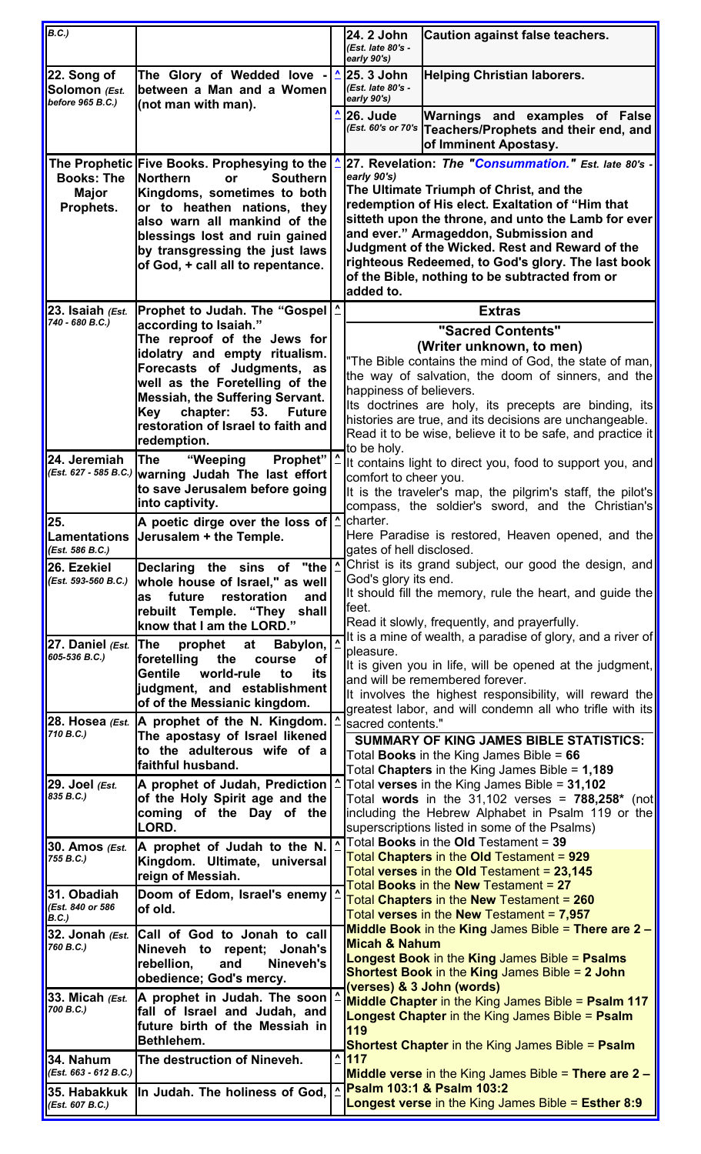<span id="page-2-18"></span><span id="page-2-17"></span><span id="page-2-16"></span><span id="page-2-15"></span><span id="page-2-14"></span><span id="page-2-13"></span><span id="page-2-12"></span><span id="page-2-11"></span><span id="page-2-10"></span><span id="page-2-9"></span><span id="page-2-8"></span><span id="page-2-7"></span><span id="page-2-6"></span><span id="page-2-5"></span><span id="page-2-4"></span><span id="page-2-3"></span><span id="page-2-2"></span><span id="page-2-1"></span><span id="page-2-0"></span>

| B.C.)                                            |                                                                                                      |                        | 24. 2 John<br>(Est. late 80's -                                                                                     | <b>Caution against false teachers.</b>                                                                             |  |  |  |
|--------------------------------------------------|------------------------------------------------------------------------------------------------------|------------------------|---------------------------------------------------------------------------------------------------------------------|--------------------------------------------------------------------------------------------------------------------|--|--|--|
|                                                  |                                                                                                      |                        | early 90's)<br>25. 3 John                                                                                           |                                                                                                                    |  |  |  |
| 22. Song of<br>Solomon (Est.<br>before 965 B.C.) | The Glory of Wedded love<br>between a Man and a Women<br>(not man with man).                         |                        | (Est. late 80's -<br>early 90's)                                                                                    | <b>Helping Christian laborers.</b>                                                                                 |  |  |  |
|                                                  |                                                                                                      |                        | <b>26. Jude</b>                                                                                                     | Warnings and examples of False<br>(Est. 60's or 70's Teachers/Prophets and their end, and<br>of Imminent Apostasy. |  |  |  |
|                                                  | The Prophetic Five Books. Prophesying to the<br><b>Northern</b><br><b>Southern</b>                   |                        | early 90's)                                                                                                         | 27. Revelation: The "Consummation." Est. late 80's -                                                               |  |  |  |
| <b>Books: The</b><br><b>Major</b>                | or<br>Kingdoms, sometimes to both                                                                    |                        |                                                                                                                     | The Ultimate Triumph of Christ, and the                                                                            |  |  |  |
| Prophets.                                        | or to heathen nations, they                                                                          |                        |                                                                                                                     | redemption of His elect. Exaltation of "Him that                                                                   |  |  |  |
|                                                  | also warn all mankind of the<br>blessings lost and ruin gained                                       |                        |                                                                                                                     | sitteth upon the throne, and unto the Lamb for ever<br>and ever." Armageddon, Submission and                       |  |  |  |
|                                                  | by transgressing the just laws                                                                       |                        | Judgment of the Wicked. Rest and Reward of the                                                                      |                                                                                                                    |  |  |  |
|                                                  | of God, + call all to repentance.                                                                    |                        |                                                                                                                     | righteous Redeemed, to God's glory. The last book<br>of the Bible, nothing to be subtracted from or                |  |  |  |
|                                                  |                                                                                                      |                        |                                                                                                                     |                                                                                                                    |  |  |  |
| 23. Isaiah (Est.<br>740 - 680 B.C.)              | Prophet to Judah. The "Gospel<br>according to Isaiah."                                               |                        |                                                                                                                     | <b>Extras</b>                                                                                                      |  |  |  |
|                                                  | The reproof of the Jews for                                                                          |                        | "Sacred Contents"                                                                                                   |                                                                                                                    |  |  |  |
|                                                  | idolatry and empty ritualism.                                                                        |                        |                                                                                                                     | (Writer unknown, to men)<br>"The Bible contains the mind of God, the state of man,                                 |  |  |  |
|                                                  | Forecasts of Judgments, as<br>well as the Foretelling of the                                         |                        | the way of salvation, the doom of sinners, and the                                                                  |                                                                                                                    |  |  |  |
|                                                  | <b>Messiah, the Suffering Servant.</b>                                                               |                        | happiness of believers.                                                                                             |                                                                                                                    |  |  |  |
|                                                  | chapter:<br>53.<br>Key<br><b>Future</b>                                                              |                        |                                                                                                                     | Its doctrines are holy, its precepts are binding, its<br>histories are true, and its decisions are unchangeable.   |  |  |  |
|                                                  | restoration of Israel to faith and<br>redemption.                                                    |                        | Read it to be wise, believe it to be safe, and practice it                                                          |                                                                                                                    |  |  |  |
| 24. Jeremiah                                     | Prophet"   ^<br>"Weeping<br>The                                                                      |                        | to be holy.                                                                                                         | It contains light to direct you, food to support you, and                                                          |  |  |  |
|                                                  | (Est. 627 - 585 B.C.) warning Judah The last effort                                                  |                        | comfort to cheer you.                                                                                               |                                                                                                                    |  |  |  |
|                                                  | to save Jerusalem before going<br>into captivity.                                                    |                        |                                                                                                                     | It is the traveler's map, the pilgrim's staff, the pilot's                                                         |  |  |  |
| 25.                                              | <b>A</b> poetic dirge over the loss of $\mathbf{\Delta}$                                             |                        | charter.                                                                                                            | compass, the soldier's sword, and the Christian's                                                                  |  |  |  |
|                                                  | Lamentations  Jerusalem + the Temple.                                                                |                        |                                                                                                                     | Here Paradise is restored, Heaven opened, and the                                                                  |  |  |  |
| (Est. 586 B.C.)<br>26. Ezekiel                   | "the                                                                                                 | $\boldsymbol{\lambda}$ | gates of hell disclosed.                                                                                            | Christ is its grand subject, our good the design, and                                                              |  |  |  |
| (Est. 593-560 B.C.)                              | Declaring the sins of<br>whole house of Israel," as well                                             |                        | God's glory its end.                                                                                                |                                                                                                                    |  |  |  |
|                                                  | restoration<br>future<br>as<br>and                                                                   |                        | lfeet.                                                                                                              | It should fill the memory, rule the heart, and guide the                                                           |  |  |  |
|                                                  | rebuilt Temple. "They shall<br>know that I am the LORD."                                             |                        | Read it slowly, frequently, and prayerfully.                                                                        |                                                                                                                    |  |  |  |
| 27. Daniel $\ell$ Est.                           | The<br>prophet<br>Babylon,<br>at                                                                     |                        |                                                                                                                     | It is a mine of wealth, a paradise of glory, and a river of                                                        |  |  |  |
| 605-536 B.C.)                                    | foretelling<br>the<br><b>of</b><br>course                                                            |                        | pleasure.<br>It is given you in life, will be opened at the judgment,                                               |                                                                                                                    |  |  |  |
|                                                  | world-rule<br>Gentile<br>to<br>its<br>judgment, and establishment                                    |                        | and will be remembered forever.                                                                                     |                                                                                                                    |  |  |  |
|                                                  | of of the Messianic kingdom.                                                                         |                        | It involves the highest responsibility, will reward the<br>greatest labor, and will condemn all who trifle with its |                                                                                                                    |  |  |  |
| 710 B.C.)                                        | 28. Hosea $\epsilon$ <sub>st</sub> . $ A$ prophet of the N. Kingdom.                                 |                        | sacred contents."                                                                                                   |                                                                                                                    |  |  |  |
|                                                  | The apostasy of Israel likened<br>to the adulterous wife of a                                        |                        | <b>SUMMARY OF KING JAMES BIBLE STATISTICS:</b>                                                                      |                                                                                                                    |  |  |  |
|                                                  | faithful husband.                                                                                    |                        | Total <b>Books</b> in the King James Bible = $66$<br>Total Chapters in the King James Bible = $1,189$               |                                                                                                                    |  |  |  |
| 29. Joel (Est.<br>835 B.C.)                      | A prophet of Judah, Prediction   ^                                                                   |                        |                                                                                                                     | Total verses in the King James Bible = 31,102                                                                      |  |  |  |
|                                                  | of the Holy Spirit age and the<br>coming of the Day of the                                           |                        |                                                                                                                     | Total words in the 31,102 verses = $788,258*$ (not<br>including the Hebrew Alphabet in Psalm 119 or the            |  |  |  |
|                                                  | LORD.                                                                                                |                        |                                                                                                                     | superscriptions listed in some of the Psalms)                                                                      |  |  |  |
| 30. Amos ( <i>Est.</i><br>755 B.C.)              | A prophet of Judah to the N.                                                                         | $\boldsymbol{\Lambda}$ |                                                                                                                     | Total <b>Books</b> in the Old Testament = 39<br>Total Chapters in the Old Testament = 929                          |  |  |  |
|                                                  | Kingdom. Ultimate, universal<br>reign of Messiah.                                                    |                        |                                                                                                                     | Total verses in the Old Testament = 23,145                                                                         |  |  |  |
| 31. Obadiah                                      | Doom of Edom, Israel's enemy                                                                         |                        |                                                                                                                     | Total Books in the New Testament = 27<br>Total Chapters in the New Testament = 260                                 |  |  |  |
| (Est. 840 or 586<br>B.C.)                        | of old.                                                                                              |                        |                                                                                                                     | Total verses in the New Testament = 7,957                                                                          |  |  |  |
|                                                  | 32. Jonah $\epsilon$ <sub>Est.</sub> Call of God to Jonah to call                                    |                        | <b>Micah &amp; Nahum</b>                                                                                            | <b>Middle Book in the King James Bible = There are <math>2 -</math></b>                                            |  |  |  |
| 760 B.C.)                                        | Nineveh to repent; Jonah's<br>rebellion,<br>and<br>Nineveh's                                         |                        |                                                                                                                     | <b>Longest Book in the King James Bible = Psalms</b>                                                               |  |  |  |
|                                                  | obedience; God's mercy.                                                                              |                        |                                                                                                                     | <b>Shortest Book in the King James Bible = 2 John</b>                                                              |  |  |  |
|                                                  | 33. Micah $\epsilon$ <sub>Est.</sub>  A prophet in Judah. The soon <br>fall of Israel and Judah, and |                        |                                                                                                                     | (verses) & 3 John (words)<br><b>Middle Chapter</b> in the King James Bible = Psalm 117                             |  |  |  |
| 700 B.C.)                                        |                                                                                                      |                        |                                                                                                                     | Longest Chapter in the King James Bible = Psalm                                                                    |  |  |  |
|                                                  | future birth of the Messiah in<br>Bethlehem.                                                         |                        | 119                                                                                                                 | <b>Shortest Chapter in the King James Bible = Psalm</b>                                                            |  |  |  |
| 34. Nahum                                        | The destruction of Nineveh.                                                                          |                        | $\frac{4}{117}$                                                                                                     |                                                                                                                    |  |  |  |
| (Est. 663 - 612 B.C.)                            |                                                                                                      | ٨                      |                                                                                                                     | <b>Middle verse in the King James Bible = There are 2 –</b><br>Psalm 103:1 & Psalm 103:2                           |  |  |  |
| 35. Habakkuk<br>(Est. 607 B.C.)                  | In Judah. The holiness of God,                                                                       |                        |                                                                                                                     | Longest verse in the King James Bible = Esther 8:9                                                                 |  |  |  |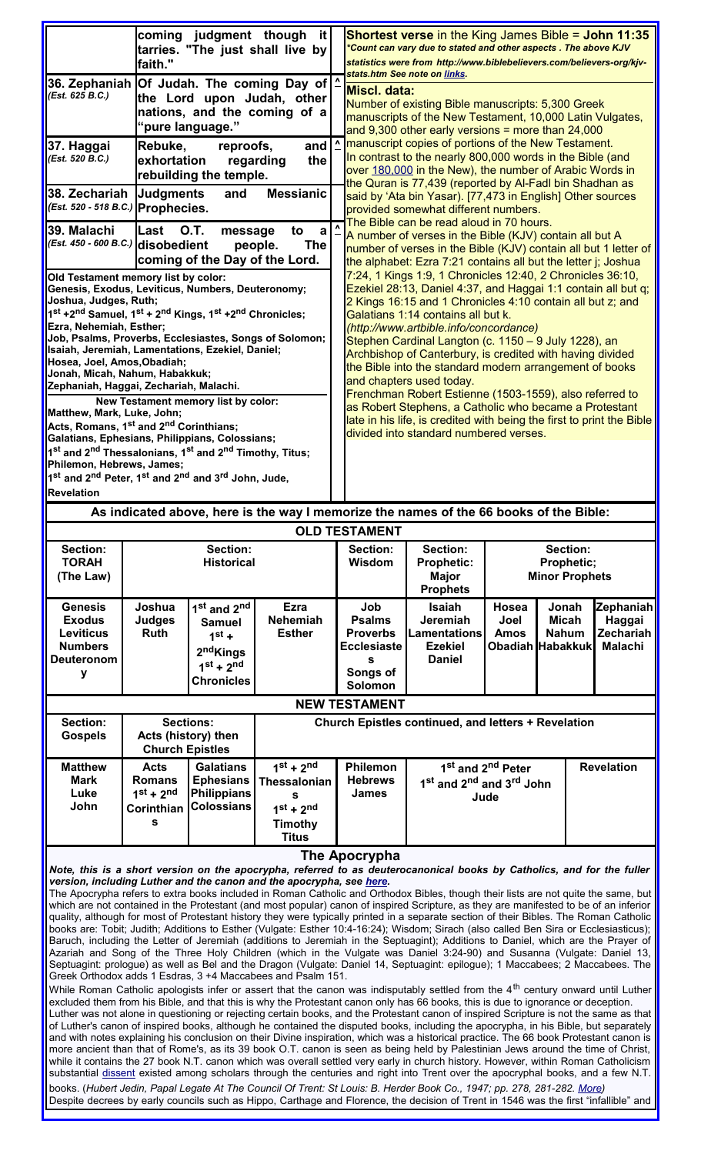<span id="page-3-4"></span><span id="page-3-3"></span><span id="page-3-2"></span><span id="page-3-1"></span>

|                                                                                                                                                                                                                                                                                                                                                | faith."                                                                                                                                                                                                         | coming judgment though                                                                                                       | it.<br>tarries. "The just shall live by                                           |                                                                                                                                                                                                                                                                                          |                                                                                                                                                                                                                                                                                                                                                                                                                                                                                                                                                                                                | <b>Shortest verse</b> in the King James Bible = John 11:35<br>*Count can vary due to stated and other aspects. The above KJV<br>statistics were from http://www.biblebelievers.com/believers-org/kjv- |                                                                                                                            |  |                                       |                                                    |  |
|------------------------------------------------------------------------------------------------------------------------------------------------------------------------------------------------------------------------------------------------------------------------------------------------------------------------------------------------|-----------------------------------------------------------------------------------------------------------------------------------------------------------------------------------------------------------------|------------------------------------------------------------------------------------------------------------------------------|-----------------------------------------------------------------------------------|------------------------------------------------------------------------------------------------------------------------------------------------------------------------------------------------------------------------------------------------------------------------------------------|------------------------------------------------------------------------------------------------------------------------------------------------------------------------------------------------------------------------------------------------------------------------------------------------------------------------------------------------------------------------------------------------------------------------------------------------------------------------------------------------------------------------------------------------------------------------------------------------|-------------------------------------------------------------------------------------------------------------------------------------------------------------------------------------------------------|----------------------------------------------------------------------------------------------------------------------------|--|---------------------------------------|----------------------------------------------------|--|
|                                                                                                                                                                                                                                                                                                                                                |                                                                                                                                                                                                                 |                                                                                                                              |                                                                                   |                                                                                                                                                                                                                                                                                          |                                                                                                                                                                                                                                                                                                                                                                                                                                                                                                                                                                                                | stats.htm See note on links.                                                                                                                                                                          |                                                                                                                            |  |                                       |                                                    |  |
| 36. Zephaniah  Of Judah. The coming Day of   ∆<br>(Est. 625 B.C.)                                                                                                                                                                                                                                                                              |                                                                                                                                                                                                                 | "pure language."                                                                                                             | the Lord upon Judah, other<br>nations, and the coming of a                        |                                                                                                                                                                                                                                                                                          |                                                                                                                                                                                                                                                                                                                                                                                                                                                                                                                                                                                                | lMiscl. data:<br>Number of existing Bible manuscripts: 5,300 Greek<br>manuscripts of the New Testament, 10,000 Latin Vulgates,<br>and $9,300$ other early versions = more than $24,000$               |                                                                                                                            |  |                                       |                                                    |  |
| 37. Haggai<br>(Est. 520 B.C.)                                                                                                                                                                                                                                                                                                                  | Rebuke,<br>exhortation                                                                                                                                                                                          | reproofs,<br>rebuilding the temple.                                                                                          | and<br>regarding<br>the                                                           |                                                                                                                                                                                                                                                                                          | <b>Manuscript copies of portions of the New Testament.</b><br>In contrast to the nearly 800,000 words in the Bible (and<br>over 180,000 in the New), the number of Arabic Words in<br>the Quran is 77,439 (reported by Al-Fadl bin Shadhan as<br>said by 'Ata bin Yasar). [77,473 in English] Other sources<br>provided somewhat different numbers.<br>The Bible can be read aloud in 70 hours.<br>A number of verses in the Bible (KJV) contain all but A<br>number of verses in the Bible (KJV) contain all but 1 letter of<br>the alphabet: Ezra 7:21 contains all but the letter j; Joshua |                                                                                                                                                                                                       |                                                                                                                            |  |                                       |                                                    |  |
| 38. Zechariah<br>(Est. 520 - 518 B.C.) Prophecies.                                                                                                                                                                                                                                                                                             | <b>Judgments</b>                                                                                                                                                                                                | and                                                                                                                          | <b>Messianic</b>                                                                  |                                                                                                                                                                                                                                                                                          |                                                                                                                                                                                                                                                                                                                                                                                                                                                                                                                                                                                                |                                                                                                                                                                                                       |                                                                                                                            |  |                                       |                                                    |  |
| 39. Malachi<br>(Est. 450 - 600 B.C.) disobedient                                                                                                                                                                                                                                                                                               | lLast                                                                                                                                                                                                           | <b>O.T.</b><br>message<br>coming of the Day of the Lord.                                                                     | to<br>a<br><b>The</b><br>people.                                                  | $\lambda$                                                                                                                                                                                                                                                                                |                                                                                                                                                                                                                                                                                                                                                                                                                                                                                                                                                                                                |                                                                                                                                                                                                       |                                                                                                                            |  |                                       |                                                    |  |
| Old Testament memory list by color:<br>Genesis, Exodus, Leviticus, Numbers, Deuteronomy;<br>Joshua, Judges, Ruth;                                                                                                                                                                                                                              |                                                                                                                                                                                                                 |                                                                                                                              |                                                                                   |                                                                                                                                                                                                                                                                                          | 7:24, 1 Kings 1:9, 1 Chronicles 12:40, 2 Chronicles 36:10,<br>Ezekiel 28:13, Daniel 4:37, and Haggai 1:1 contain all but q;<br>2 Kings 16:15 and 1 Chronicles 4:10 contain all but z; and                                                                                                                                                                                                                                                                                                                                                                                                      |                                                                                                                                                                                                       |                                                                                                                            |  |                                       |                                                    |  |
| 1st +2 <sup>nd</sup> Samuel, 1st + 2 <sup>nd</sup> Kings, 1st +2 <sup>nd</sup> Chronicles;<br>Ezra, Nehemiah, Esther;<br>Job, Psalms, Proverbs, Ecclesiastes, Songs of Solomon;<br>Isaiah, Jeremiah, Lamentations, Ezekiel, Daniel;<br>Hosea, Joel, Amos, Obadiah;<br>Jonah, Micah, Nahum, Habakkuk;<br>Zephaniah, Haggai, Zechariah, Malachi. |                                                                                                                                                                                                                 |                                                                                                                              |                                                                                   | Galatians 1:14 contains all but k.<br>(http://www.artbible.info/concordance)<br>Stephen Cardinal Langton (c. 1150 – 9 July 1228), an<br>Archbishop of Canterbury, is credited with having divided<br>the Bible into the standard modern arrangement of books<br>and chapters used today. |                                                                                                                                                                                                                                                                                                                                                                                                                                                                                                                                                                                                |                                                                                                                                                                                                       |                                                                                                                            |  |                                       |                                                    |  |
|                                                                                                                                                                                                                                                                                                                                                |                                                                                                                                                                                                                 |                                                                                                                              |                                                                                   |                                                                                                                                                                                                                                                                                          | Frenchman Robert Estienne (1503-1559), also referred to<br>as Robert Stephens, a Catholic who became a Protestant<br>late in his life, is credited with being the first to print the Bible<br>divided into standard numbered verses.                                                                                                                                                                                                                                                                                                                                                           |                                                                                                                                                                                                       |                                                                                                                            |  |                                       |                                                    |  |
| Matthew, Mark, Luke, John;                                                                                                                                                                                                                                                                                                                     |                                                                                                                                                                                                                 | New Testament memory list by color:                                                                                          |                                                                                   |                                                                                                                                                                                                                                                                                          |                                                                                                                                                                                                                                                                                                                                                                                                                                                                                                                                                                                                |                                                                                                                                                                                                       |                                                                                                                            |  |                                       |                                                    |  |
| Acts, Romans, 1 <sup>st</sup> and 2 <sup>nd</sup> Corinthians;                                                                                                                                                                                                                                                                                 |                                                                                                                                                                                                                 |                                                                                                                              |                                                                                   |                                                                                                                                                                                                                                                                                          |                                                                                                                                                                                                                                                                                                                                                                                                                                                                                                                                                                                                |                                                                                                                                                                                                       |                                                                                                                            |  |                                       |                                                    |  |
| Galatians, Ephesians, Philippians, Colossians;                                                                                                                                                                                                                                                                                                 |                                                                                                                                                                                                                 |                                                                                                                              |                                                                                   |                                                                                                                                                                                                                                                                                          |                                                                                                                                                                                                                                                                                                                                                                                                                                                                                                                                                                                                |                                                                                                                                                                                                       |                                                                                                                            |  |                                       |                                                    |  |
| 1 <sup>st</sup> and 2 <sup>nd</sup> Thessalonians, 1 <sup>st</sup> and 2 <sup>nd</sup> Timothy, Titus;                                                                                                                                                                                                                                         |                                                                                                                                                                                                                 |                                                                                                                              |                                                                                   |                                                                                                                                                                                                                                                                                          |                                                                                                                                                                                                                                                                                                                                                                                                                                                                                                                                                                                                |                                                                                                                                                                                                       |                                                                                                                            |  |                                       |                                                    |  |
| Philemon, Hebrews, James;                                                                                                                                                                                                                                                                                                                      |                                                                                                                                                                                                                 |                                                                                                                              |                                                                                   |                                                                                                                                                                                                                                                                                          |                                                                                                                                                                                                                                                                                                                                                                                                                                                                                                                                                                                                |                                                                                                                                                                                                       |                                                                                                                            |  |                                       |                                                    |  |
| 1 <sup>st</sup> and 2 <sup>nd</sup> Peter, 1 <sup>st</sup> and 2 <sup>nd</sup> and 3 <sup>rd</sup> John, Jude,                                                                                                                                                                                                                                 |                                                                                                                                                                                                                 |                                                                                                                              |                                                                                   |                                                                                                                                                                                                                                                                                          |                                                                                                                                                                                                                                                                                                                                                                                                                                                                                                                                                                                                |                                                                                                                                                                                                       |                                                                                                                            |  |                                       |                                                    |  |
| Revelation                                                                                                                                                                                                                                                                                                                                     |                                                                                                                                                                                                                 |                                                                                                                              |                                                                                   |                                                                                                                                                                                                                                                                                          |                                                                                                                                                                                                                                                                                                                                                                                                                                                                                                                                                                                                |                                                                                                                                                                                                       |                                                                                                                            |  |                                       |                                                    |  |
|                                                                                                                                                                                                                                                                                                                                                |                                                                                                                                                                                                                 |                                                                                                                              |                                                                                   |                                                                                                                                                                                                                                                                                          |                                                                                                                                                                                                                                                                                                                                                                                                                                                                                                                                                                                                | As indicated above, here is the way I memorize the names of the 66 books of the Bible:                                                                                                                |                                                                                                                            |  |                                       |                                                    |  |
|                                                                                                                                                                                                                                                                                                                                                |                                                                                                                                                                                                                 |                                                                                                                              |                                                                                   |                                                                                                                                                                                                                                                                                          | <b>OLD TESTAMENT</b>                                                                                                                                                                                                                                                                                                                                                                                                                                                                                                                                                                           |                                                                                                                                                                                                       |                                                                                                                            |  |                                       |                                                    |  |
| Section:                                                                                                                                                                                                                                                                                                                                       |                                                                                                                                                                                                                 | Section:                                                                                                                     |                                                                                   |                                                                                                                                                                                                                                                                                          | <b>Section:</b>                                                                                                                                                                                                                                                                                                                                                                                                                                                                                                                                                                                | Section:                                                                                                                                                                                              |                                                                                                                            |  | Section:                              |                                                    |  |
| <b>TORAH</b>                                                                                                                                                                                                                                                                                                                                   |                                                                                                                                                                                                                 | <b>Historical</b>                                                                                                            |                                                                                   |                                                                                                                                                                                                                                                                                          | Wisdom                                                                                                                                                                                                                                                                                                                                                                                                                                                                                                                                                                                         | <b>Prophetic:</b>                                                                                                                                                                                     | Prophetic;                                                                                                                 |  |                                       |                                                    |  |
| (The Law)                                                                                                                                                                                                                                                                                                                                      |                                                                                                                                                                                                                 |                                                                                                                              |                                                                                   |                                                                                                                                                                                                                                                                                          |                                                                                                                                                                                                                                                                                                                                                                                                                                                                                                                                                                                                | <b>Major</b><br><b>Prophets</b>                                                                                                                                                                       | <b>Minor Prophets</b>                                                                                                      |  |                                       |                                                    |  |
| <b>Genesis</b><br><b>Exodus</b><br><b>Leviticus</b><br><b>Numbers</b><br><b>Deuteronom</b><br>у                                                                                                                                                                                                                                                | Joshua<br><b>Judges</b><br><b>Ruth</b>                                                                                                                                                                          | 1 <sup>st</sup> and 2 <sup>nd</sup><br><b>Samuel</b><br>$1st +$<br>2 <sup>nd</sup> Kings<br>$1st + 2nd$<br><b>Chronicles</b> | <b>Ezra</b><br><b>Nehemiah</b><br><b>Esther</b>                                   |                                                                                                                                                                                                                                                                                          | Job<br><b>Psalms</b><br><b>Proverbs</b><br><b>Ecclesiaste</b><br>s<br>Songs of<br>Solomon                                                                                                                                                                                                                                                                                                                                                                                                                                                                                                      | Isaiah<br>Jeremiah<br><b>Lamentations</b><br><b>Ezekiel</b><br><b>Daniel</b>                                                                                                                          | Hosea<br>Joel<br><b>Amos</b><br>Obadiah Habakkuk                                                                           |  | Jonah<br><b>Micah</b><br><b>Nahum</b> | Zephaniah<br>Haggai<br>Zechariah<br><b>Malachi</b> |  |
|                                                                                                                                                                                                                                                                                                                                                |                                                                                                                                                                                                                 |                                                                                                                              |                                                                                   |                                                                                                                                                                                                                                                                                          | <b>NEW TESTAMENT</b>                                                                                                                                                                                                                                                                                                                                                                                                                                                                                                                                                                           |                                                                                                                                                                                                       |                                                                                                                            |  |                                       |                                                    |  |
|                                                                                                                                                                                                                                                                                                                                                |                                                                                                                                                                                                                 |                                                                                                                              |                                                                                   |                                                                                                                                                                                                                                                                                          |                                                                                                                                                                                                                                                                                                                                                                                                                                                                                                                                                                                                |                                                                                                                                                                                                       |                                                                                                                            |  |                                       |                                                    |  |
| Section:<br><b>Gospels</b>                                                                                                                                                                                                                                                                                                                     | <b>Church Epistles</b>                                                                                                                                                                                          | <b>Sections:</b><br>Acts (history) then                                                                                      |                                                                                   | Church Epistles continued, and letters + Revelation                                                                                                                                                                                                                                      |                                                                                                                                                                                                                                                                                                                                                                                                                                                                                                                                                                                                |                                                                                                                                                                                                       |                                                                                                                            |  |                                       |                                                    |  |
| <b>Matthew</b><br><b>Mark</b><br>Luke<br>John                                                                                                                                                                                                                                                                                                  | <b>Acts</b><br><b>Romans</b><br>$1st + 2nd$<br>Corinthian<br>S                                                                                                                                                  | <b>Galatians</b><br><b>Ephesians</b><br><b>Philippians</b><br><b>Colossians</b>                                              | $1st + 2nd$<br><b>Thessalonian</b><br>s<br>$1st + 2nd$<br>Timothy<br><b>Titus</b> |                                                                                                                                                                                                                                                                                          | Philemon<br><b>Hebrews</b><br><b>James</b>                                                                                                                                                                                                                                                                                                                                                                                                                                                                                                                                                     |                                                                                                                                                                                                       | <b>Revelation</b><br>1 <sup>st</sup> and 2 <sup>nd</sup> Peter<br>1st and 2 <sup>nd</sup> and 3 <sup>rd</sup> John<br>Jude |  |                                       |                                                    |  |
|                                                                                                                                                                                                                                                                                                                                                | The Apocrypha<br>Note, this is a short version on the apocrypha, referred to as deuterocanonical books by Catholics, and for the fuller<br>version, including Luther and the canon and the apocrypha, see here. |                                                                                                                              |                                                                                   |                                                                                                                                                                                                                                                                                          |                                                                                                                                                                                                                                                                                                                                                                                                                                                                                                                                                                                                |                                                                                                                                                                                                       |                                                                                                                            |  |                                       |                                                    |  |

<span id="page-3-0"></span>The Apocrypha refers to extra books included in Roman Catholic and Orthodox Bibles, though their lists are not quite the same, but which are not contained in the Protestant (and most popular) canon of inspired Scripture, as they are manifested to be of an inferior quality, although for most of Protestant history they were typically printed in a separate section of their Bibles. The Roman Catholic books are: Tobit; Judith; Additions to Esther (Vulgate: Esther 10:4-16:24); Wisdom; Sirach (also called Ben Sira or Ecclesiasticus); Baruch, including the Letter of Jeremiah (additions to Jeremiah in the Septuagint); Additions to Daniel, which are the Prayer of Azariah and Song of the Three Holy Children (which in the Vulgate was Daniel 3:24-90) and Susanna (Vulgate: Daniel 13, Septuagint: prologue) as well as Bel and the Dragon (Vulgate: Daniel 14, Septuagint: epilogue); 1 Maccabees; 2 Maccabees. The Greek Orthodox adds 1 Esdras, 3 +4 Maccabees and Psalm 151.

While Roman Catholic apologists infer or assert that the canon was indisputably settled from the 4<sup>th</sup> century onward until Luther excluded them from his Bible, and that this is why the Protestant canon only has 66 books, this is due to ignorance or deception. Luther was not alone in questioning or rejecting certain books, and the Protestant canon of inspired Scripture is not the same as that of Luther's canon of inspired books, although he contained the disputed books, including the apocrypha, in his Bible, but separately and with notes explaining his conclusion on their Divine inspiration, which was a historical practice. The 66 book Protestant canon is more ancient than that of Rome's, as its 39 book O.T. canon is seen as being held by Palestinian Jews around the time of Christ, while it contains the 27 book N.T. canon which was overall settled very early in church history. However, within Roman Catholicism substantial <u>dissent</u> existed among scholars through the centuries and right into Trent over the apocryphal books, and a few N.T. books. (*Hubert Jedin, Papal Legate At The Council Of Trent: St Louis: B. Herder Book Co., 1947; pp. 278, 281-282. [More\)](http://beggarsallreformation.blogspot.com/2006/06/who-were-some-of-best-scholars-at.html)*

Despite decrees by early councils such as Hippo, Carthage and Florence, the decision of Trent in 1546 was the first "infallible" and